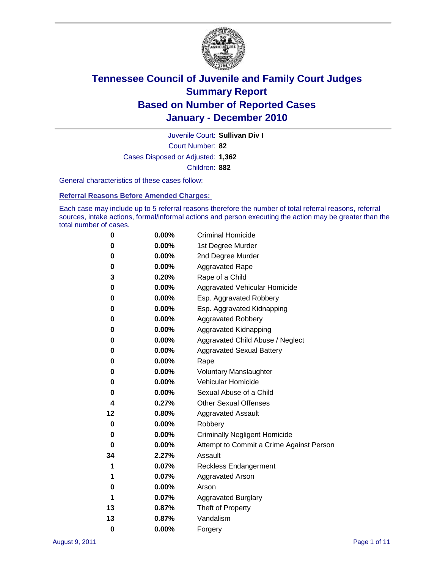

Court Number: **82** Juvenile Court: **Sullivan Div I** Cases Disposed or Adjusted: **1,362** Children: **882**

General characteristics of these cases follow:

**Referral Reasons Before Amended Charges:** 

Each case may include up to 5 referral reasons therefore the number of total referral reasons, referral sources, intake actions, formal/informal actions and person executing the action may be greater than the total number of cases.

| 0  | 0.00%    | <b>Criminal Homicide</b>                 |
|----|----------|------------------------------------------|
| 0  | 0.00%    | 1st Degree Murder                        |
| 0  | 0.00%    | 2nd Degree Murder                        |
| 0  | 0.00%    | <b>Aggravated Rape</b>                   |
| 3  | 0.20%    | Rape of a Child                          |
| 0  | 0.00%    | Aggravated Vehicular Homicide            |
| 0  | 0.00%    | Esp. Aggravated Robbery                  |
| 0  | 0.00%    | Esp. Aggravated Kidnapping               |
| 0  | 0.00%    | <b>Aggravated Robbery</b>                |
| 0  | 0.00%    | Aggravated Kidnapping                    |
| 0  | 0.00%    | Aggravated Child Abuse / Neglect         |
| 0  | 0.00%    | <b>Aggravated Sexual Battery</b>         |
| 0  | 0.00%    | Rape                                     |
| 0  | $0.00\%$ | <b>Voluntary Manslaughter</b>            |
| 0  | 0.00%    | Vehicular Homicide                       |
| 0  | 0.00%    | Sexual Abuse of a Child                  |
| 4  | 0.27%    | <b>Other Sexual Offenses</b>             |
| 12 | 0.80%    | <b>Aggravated Assault</b>                |
| 0  | $0.00\%$ | Robbery                                  |
| 0  | 0.00%    | <b>Criminally Negligent Homicide</b>     |
| 0  | 0.00%    | Attempt to Commit a Crime Against Person |
| 34 | 2.27%    | Assault                                  |
| 1  | 0.07%    | <b>Reckless Endangerment</b>             |
| 1  | 0.07%    | <b>Aggravated Arson</b>                  |
| 0  | 0.00%    | Arson                                    |
| 1  | 0.07%    | <b>Aggravated Burglary</b>               |
| 13 | 0.87%    | Theft of Property                        |
| 13 | 0.87%    | Vandalism                                |
| 0  | 0.00%    | Forgery                                  |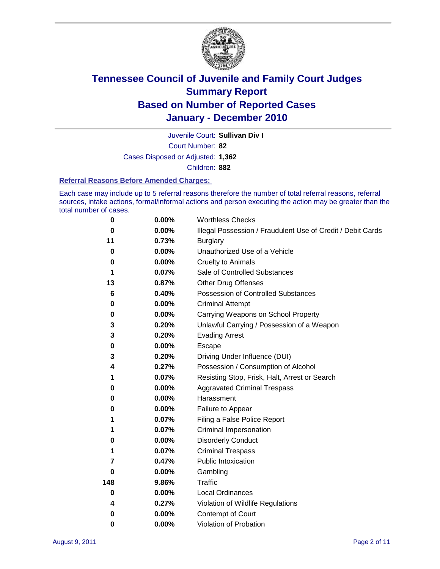

Juvenile Court: **Sullivan Div I**

Court Number: **82**

Cases Disposed or Adjusted: **1,362**

Children: **882**

#### **Referral Reasons Before Amended Charges:**

Each case may include up to 5 referral reasons therefore the number of total referral reasons, referral sources, intake actions, formal/informal actions and person executing the action may be greater than the total number of cases.

| $\bf{0}$ | 0.00%    | <b>Worthless Checks</b>                                     |
|----------|----------|-------------------------------------------------------------|
| 0        | 0.00%    | Illegal Possession / Fraudulent Use of Credit / Debit Cards |
| 11       | 0.73%    | <b>Burglary</b>                                             |
| $\bf{0}$ | $0.00\%$ | Unauthorized Use of a Vehicle                               |
| 0        | $0.00\%$ | <b>Cruelty to Animals</b>                                   |
| 1        | 0.07%    | Sale of Controlled Substances                               |
| 13       | 0.87%    | <b>Other Drug Offenses</b>                                  |
| 6        | 0.40%    | Possession of Controlled Substances                         |
| 0        | $0.00\%$ | <b>Criminal Attempt</b>                                     |
| 0        | 0.00%    | Carrying Weapons on School Property                         |
| 3        | 0.20%    | Unlawful Carrying / Possession of a Weapon                  |
| 3        | 0.20%    | <b>Evading Arrest</b>                                       |
| 0        | 0.00%    | Escape                                                      |
| 3        | 0.20%    | Driving Under Influence (DUI)                               |
| 4        | 0.27%    | Possession / Consumption of Alcohol                         |
| 1        | 0.07%    | Resisting Stop, Frisk, Halt, Arrest or Search               |
| 0        | $0.00\%$ | <b>Aggravated Criminal Trespass</b>                         |
| 0        | $0.00\%$ | Harassment                                                  |
| 0        | 0.00%    | Failure to Appear                                           |
| 1        | 0.07%    | Filing a False Police Report                                |
| 1        | 0.07%    | Criminal Impersonation                                      |
| 0        | $0.00\%$ | <b>Disorderly Conduct</b>                                   |
| 1        | 0.07%    | <b>Criminal Trespass</b>                                    |
| 7        | 0.47%    | Public Intoxication                                         |
| 0        | $0.00\%$ | Gambling                                                    |
| 148      | 9.86%    | Traffic                                                     |
| 0        | $0.00\%$ | <b>Local Ordinances</b>                                     |
| 4        | 0.27%    | Violation of Wildlife Regulations                           |
| 0        | $0.00\%$ | Contempt of Court                                           |
| 0        | 0.00%    | Violation of Probation                                      |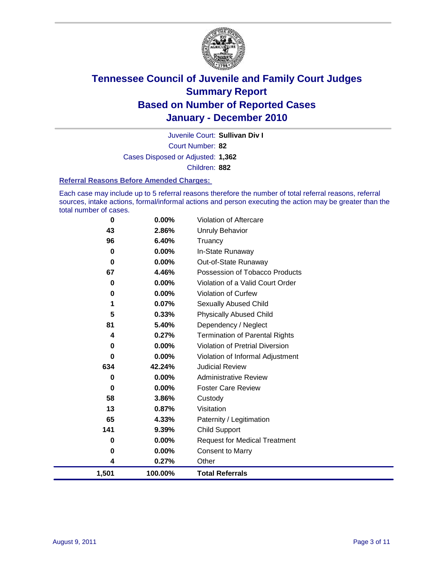

Court Number: **82** Juvenile Court: **Sullivan Div I** Cases Disposed or Adjusted: **1,362** Children: **882**

#### **Referral Reasons Before Amended Charges:**

Each case may include up to 5 referral reasons therefore the number of total referral reasons, referral sources, intake actions, formal/informal actions and person executing the action may be greater than the total number of cases.

| 1,501 | 100.00% | <b>Total Referrals</b>                 |
|-------|---------|----------------------------------------|
| 4     | 0.27%   | Other                                  |
| 0     | 0.00%   | Consent to Marry                       |
| 0     | 0.00%   | <b>Request for Medical Treatment</b>   |
| 141   | 9.39%   | <b>Child Support</b>                   |
| 65    | 4.33%   | Paternity / Legitimation               |
| 13    | 0.87%   | Visitation                             |
| 58    | 3.86%   | Custody                                |
| 0     | 0.00%   | <b>Foster Care Review</b>              |
| 0     | 0.00%   | <b>Administrative Review</b>           |
| 634   | 42.24%  | <b>Judicial Review</b>                 |
| 0     | 0.00%   | Violation of Informal Adjustment       |
| 0     | 0.00%   | <b>Violation of Pretrial Diversion</b> |
| 4     | 0.27%   | <b>Termination of Parental Rights</b>  |
| 81    | 5.40%   | Dependency / Neglect                   |
| 5     | 0.33%   | <b>Physically Abused Child</b>         |
| 1     | 0.07%   | <b>Sexually Abused Child</b>           |
| 0     | 0.00%   | <b>Violation of Curfew</b>             |
| 0     | 0.00%   | Violation of a Valid Court Order       |
| 67    | 4.46%   | Possession of Tobacco Products         |
| 0     | 0.00%   | Out-of-State Runaway                   |
| 0     | 0.00%   | In-State Runaway                       |
| 96    | 6.40%   | Truancy                                |
| 43    | 2.86%   | <b>Unruly Behavior</b>                 |
| 0     | 0.00%   | Violation of Aftercare                 |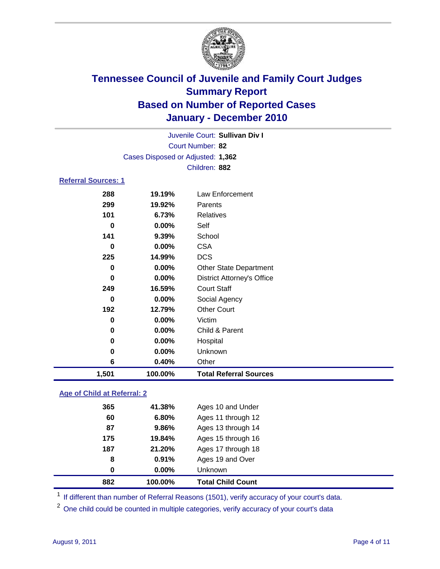

|                            |                                   | Juvenile Court: Sullivan Div I    |
|----------------------------|-----------------------------------|-----------------------------------|
|                            |                                   | Court Number: 82                  |
|                            | Cases Disposed or Adjusted: 1,362 |                                   |
|                            |                                   | Children: 882                     |
| <b>Referral Sources: 1</b> |                                   |                                   |
|                            |                                   |                                   |
| 288                        | 19.19%                            | Law Enforcement                   |
| 299                        | 19.92%                            | Parents                           |
| 101                        | 6.73%                             | <b>Relatives</b>                  |
| 0                          | 0.00%                             | Self                              |
| 141                        | 9.39%                             | School                            |
| 0                          | $0.00\%$                          | <b>CSA</b>                        |
| 225                        | 14.99%                            | <b>DCS</b>                        |
| 0                          | 0.00%                             | <b>Other State Department</b>     |
| 0                          | $0.00\%$                          | <b>District Attorney's Office</b> |
| 249                        | 16.59%                            | <b>Court Staff</b>                |
| 0                          | $0.00\%$                          | Social Agency                     |
| 192                        | 12.79%                            | <b>Other Court</b>                |
| 0                          | $0.00\%$                          | Victim                            |
|                            |                                   |                                   |

| 1,501 | 100.00%  | <b>Total Referral Sources</b> |
|-------|----------|-------------------------------|
| 6     | 0.40%    | Other                         |
| 0     | $0.00\%$ | <b>Unknown</b>                |
| 0     | $0.00\%$ | Hospital                      |
| 0     | $0.00\%$ | Child & Parent                |
|       |          |                               |

### **Age of Child at Referral: 2**

| 882      | 100.00%  | <b>Total Child Count</b> |
|----------|----------|--------------------------|
| $\bf{0}$ | $0.00\%$ | Unknown                  |
| 8        | 0.91%    | Ages 19 and Over         |
| 187      | 21.20%   | Ages 17 through 18       |
| 175      | 19.84%   | Ages 15 through 16       |
| 87       | 9.86%    | Ages 13 through 14       |
| 60       | 6.80%    | Ages 11 through 12       |
| 365      | 41.38%   | Ages 10 and Under        |

<sup>1</sup> If different than number of Referral Reasons (1501), verify accuracy of your court's data.

<sup>2</sup> One child could be counted in multiple categories, verify accuracy of your court's data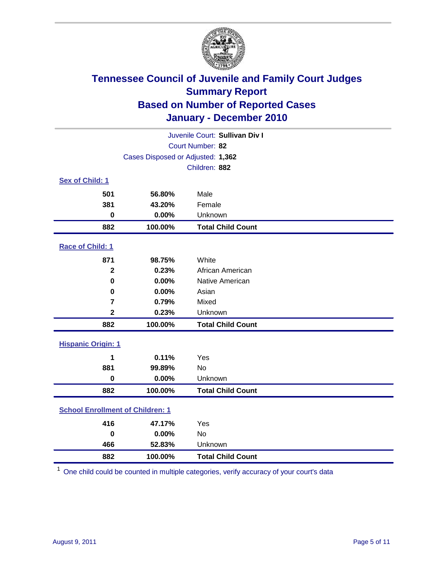

|                                         |                                   | Juvenile Court: Sullivan Div I |
|-----------------------------------------|-----------------------------------|--------------------------------|
|                                         |                                   | Court Number: 82               |
|                                         | Cases Disposed or Adjusted: 1,362 |                                |
|                                         |                                   | Children: 882                  |
| Sex of Child: 1                         |                                   |                                |
| 501                                     | 56.80%                            | Male                           |
| 381                                     | 43.20%                            | Female                         |
| $\bf{0}$                                | 0.00%                             | Unknown                        |
| 882                                     | 100.00%                           | <b>Total Child Count</b>       |
| Race of Child: 1                        |                                   |                                |
| 871                                     | 98.75%                            | White                          |
| $\mathbf{2}$                            | 0.23%                             | African American               |
| $\mathbf 0$                             | 0.00%                             | Native American                |
| 0                                       | 0.00%                             | Asian                          |
| $\overline{7}$                          | 0.79%                             | Mixed                          |
| $\mathbf 2$                             | 0.23%                             | Unknown                        |
| 882                                     | 100.00%                           | <b>Total Child Count</b>       |
| <b>Hispanic Origin: 1</b>               |                                   |                                |
| 1                                       | 0.11%                             | Yes                            |
| 881                                     | 99.89%                            | No                             |
| $\mathbf 0$                             | 0.00%                             | Unknown                        |
| 882                                     | 100.00%                           | <b>Total Child Count</b>       |
| <b>School Enrollment of Children: 1</b> |                                   |                                |
| 416                                     | 47.17%                            | Yes                            |
| $\bf{0}$                                | 0.00%                             | <b>No</b>                      |
| 466                                     | 52.83%                            | Unknown                        |
| 882                                     | 100.00%                           | <b>Total Child Count</b>       |

One child could be counted in multiple categories, verify accuracy of your court's data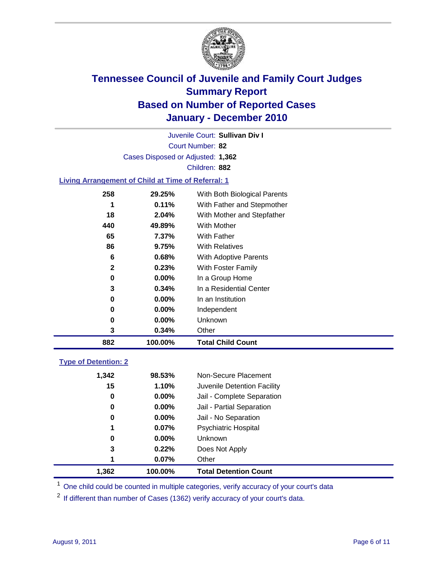

Court Number: **82** Juvenile Court: **Sullivan Div I** Cases Disposed or Adjusted: **1,362** Children: **882**

#### **Living Arrangement of Child at Time of Referral: 1**

| 882 | 100.00%  | <b>Total Child Count</b>     |
|-----|----------|------------------------------|
| 3   | 0.34%    | Other                        |
| 0   | $0.00\%$ | Unknown                      |
| 0   | $0.00\%$ | Independent                  |
| 0   | 0.00%    | In an Institution            |
| 3   | 0.34%    | In a Residential Center      |
| 0   | 0.00%    | In a Group Home              |
| 2   | 0.23%    | With Foster Family           |
| 6   | 0.68%    | <b>With Adoptive Parents</b> |
| 86  | 9.75%    | <b>With Relatives</b>        |
| 65  | 7.37%    | With Father                  |
| 440 | 49.89%   | With Mother                  |
| 18  | 2.04%    | With Mother and Stepfather   |
| 1   | 0.11%    | With Father and Stepmother   |
| 258 | 29.25%   | With Both Biological Parents |
|     |          |                              |

### **Type of Detention: 2**

| 1,362 | 100.00%  | <b>Total Detention Count</b> |
|-------|----------|------------------------------|
| 1     | 0.07%    | Other                        |
| 3     | 0.22%    | Does Not Apply               |
| 0     | $0.00\%$ | Unknown                      |
| 1     | $0.07\%$ | Psychiatric Hospital         |
| 0     | 0.00%    | Jail - No Separation         |
| 0     | $0.00\%$ | Jail - Partial Separation    |
| 0     | $0.00\%$ | Jail - Complete Separation   |
| 15    | 1.10%    | Juvenile Detention Facility  |
| 1,342 | 98.53%   | Non-Secure Placement         |
|       |          |                              |

<sup>1</sup> One child could be counted in multiple categories, verify accuracy of your court's data

<sup>2</sup> If different than number of Cases (1362) verify accuracy of your court's data.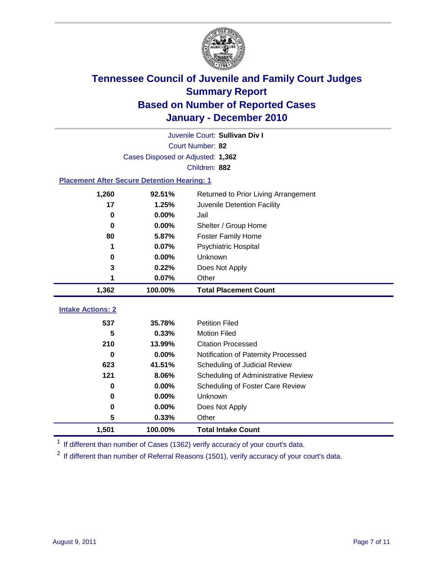

|                                                    |                                   | Juvenile Court: Sullivan Div I       |
|----------------------------------------------------|-----------------------------------|--------------------------------------|
|                                                    |                                   | Court Number: 82                     |
|                                                    | Cases Disposed or Adjusted: 1,362 |                                      |
|                                                    |                                   | Children: 882                        |
| <b>Placement After Secure Detention Hearing: 1</b> |                                   |                                      |
| 1,260                                              | 92.51%                            | Returned to Prior Living Arrangement |
| 17                                                 | 1.25%                             | Juvenile Detention Facility          |
| $\bf{0}$                                           | 0.00%                             | Jail                                 |
| 0                                                  | 0.00%                             | Shelter / Group Home                 |
| 80                                                 | 5.87%                             | <b>Foster Family Home</b>            |
| 1                                                  | 0.07%                             | <b>Psychiatric Hospital</b>          |
| 0                                                  | 0.00%                             | Unknown                              |
| 3                                                  | 0.22%                             | Does Not Apply                       |
| 1                                                  | 0.07%                             | Other                                |
| 1,362                                              | 100.00%                           | <b>Total Placement Count</b>         |
| <b>Intake Actions: 2</b>                           |                                   |                                      |
| 537                                                | 35.78%                            | <b>Petition Filed</b>                |
| 5                                                  | 0.33%                             | <b>Motion Filed</b>                  |
| 210                                                | 13.99%                            | <b>Citation Processed</b>            |
| 0                                                  | 0.00%                             | Notification of Paternity Processed  |
| 623                                                | 41.51%                            | Scheduling of Judicial Review        |
| 121                                                | 8.06%                             | Scheduling of Administrative Review  |
| 0                                                  | 0.00%                             | Scheduling of Foster Care Review     |
| $\bf{0}$                                           | 0.00%                             | Unknown                              |
| 0                                                  | 0.00%                             | Does Not Apply                       |
| 5                                                  | 0.33%                             | Other                                |
| 1,501                                              | 100.00%                           | <b>Total Intake Count</b>            |

<sup>1</sup> If different than number of Cases (1362) verify accuracy of your court's data.

<sup>2</sup> If different than number of Referral Reasons (1501), verify accuracy of your court's data.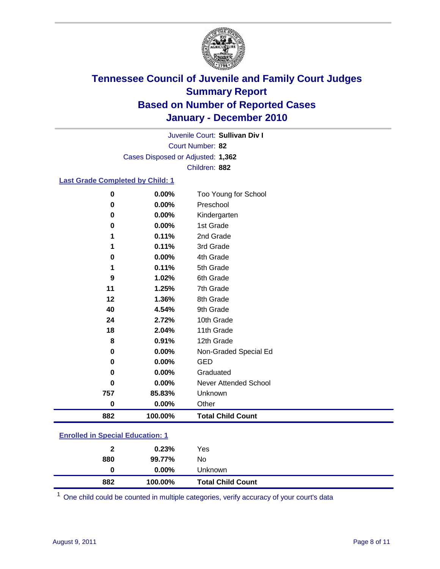

Court Number: **82** Juvenile Court: **Sullivan Div I** Cases Disposed or Adjusted: **1,362** Children: **882**

#### **Last Grade Completed by Child: 1**

| $\bf{0}$ | 0.00%    | Too Young for School     |  |
|----------|----------|--------------------------|--|
| 0        | 0.00%    | Preschool                |  |
| $\bf{0}$ | 0.00%    | Kindergarten             |  |
| 0        | 0.00%    | 1st Grade                |  |
| 1        | 0.11%    | 2nd Grade                |  |
| 1        | 0.11%    | 3rd Grade                |  |
| 0        | 0.00%    | 4th Grade                |  |
| 1        | 0.11%    | 5th Grade                |  |
| 9        | 1.02%    | 6th Grade                |  |
| 11       | 1.25%    | 7th Grade                |  |
| 12       | 1.36%    | 8th Grade                |  |
| 40       | 4.54%    | 9th Grade                |  |
| 24       | 2.72%    | 10th Grade               |  |
| 18       | 2.04%    | 11th Grade               |  |
| 8        | 0.91%    | 12th Grade               |  |
| 0        | $0.00\%$ | Non-Graded Special Ed    |  |
| 0        | 0.00%    | <b>GED</b>               |  |
| 0        | 0.00%    | Graduated                |  |
| 0        | 0.00%    | Never Attended School    |  |
| 757      | 85.83%   | Unknown                  |  |
| 0        | $0.00\%$ | Other                    |  |
| 882      | 100.00%  | <b>Total Child Count</b> |  |

| <b>Enrolled in Special Education: 1</b> |  |
|-----------------------------------------|--|
|                                         |  |

| 2   | 0.23%              | Yes                      |
|-----|--------------------|--------------------------|
| 880 | 99.77%<br>$0.00\%$ | No<br>Unknown            |
| 882 | 100.00%            | <b>Total Child Count</b> |

One child could be counted in multiple categories, verify accuracy of your court's data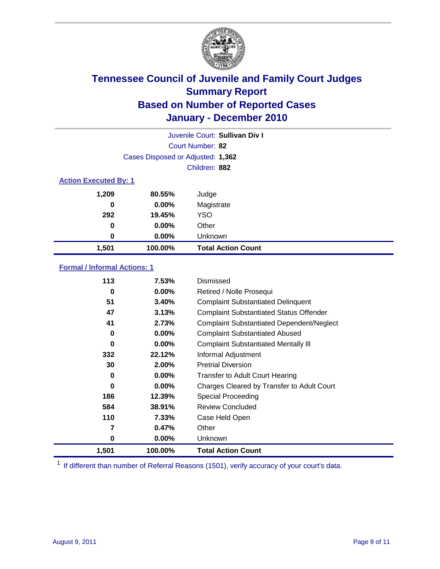

|                              |                                   | Juvenile Court: Sullivan Div I |
|------------------------------|-----------------------------------|--------------------------------|
|                              |                                   | Court Number: 82               |
|                              | Cases Disposed or Adjusted: 1,362 |                                |
|                              |                                   | Children: 882                  |
| <b>Action Executed By: 1</b> |                                   |                                |
| 1,209                        | 80.55%                            | Judge                          |
| 0                            | $0.00\%$                          | Magistrate                     |
| 292                          | 19.45%                            | <b>YSO</b>                     |
| 0                            | $0.00\%$                          | Other                          |
| 0                            | 0.00%                             | Unknown                        |
| 1,501                        | 100.00%                           | <b>Total Action Count</b>      |

### **Formal / Informal Actions: 1**

| 113   | 7.53%    | Dismissed                                        |
|-------|----------|--------------------------------------------------|
| 0     | $0.00\%$ | Retired / Nolle Prosequi                         |
| 51    | 3.40%    | <b>Complaint Substantiated Delinquent</b>        |
| 47    | 3.13%    | <b>Complaint Substantiated Status Offender</b>   |
| 41    | 2.73%    | <b>Complaint Substantiated Dependent/Neglect</b> |
| 0     | $0.00\%$ | <b>Complaint Substantiated Abused</b>            |
| 0     | $0.00\%$ | <b>Complaint Substantiated Mentally III</b>      |
| 332   | 22.12%   | Informal Adjustment                              |
| 30    | 2.00%    | <b>Pretrial Diversion</b>                        |
| 0     | $0.00\%$ | <b>Transfer to Adult Court Hearing</b>           |
| 0     | $0.00\%$ | Charges Cleared by Transfer to Adult Court       |
| 186   | 12.39%   | <b>Special Proceeding</b>                        |
| 584   | 38.91%   | <b>Review Concluded</b>                          |
| 110   | 7.33%    | Case Held Open                                   |
| 7     | 0.47%    | Other                                            |
| 0     | 0.00%    | <b>Unknown</b>                                   |
| 1,501 | 100.00%  | <b>Total Action Count</b>                        |

<sup>1</sup> If different than number of Referral Reasons (1501), verify accuracy of your court's data.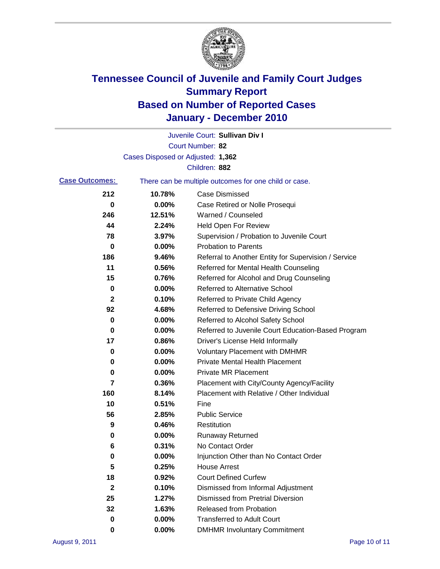

|                       |                                   | Juvenile Court: Sullivan Div I                        |
|-----------------------|-----------------------------------|-------------------------------------------------------|
|                       |                                   | Court Number: 82                                      |
|                       | Cases Disposed or Adjusted: 1,362 |                                                       |
|                       |                                   | Children: 882                                         |
| <b>Case Outcomes:</b> |                                   | There can be multiple outcomes for one child or case. |
| 212                   | 10.78%                            | <b>Case Dismissed</b>                                 |
| 0                     | 0.00%                             | Case Retired or Nolle Prosequi                        |
| 246                   | 12.51%                            | Warned / Counseled                                    |
| 44                    | 2.24%                             | <b>Held Open For Review</b>                           |
| 78                    | 3.97%                             | Supervision / Probation to Juvenile Court             |
| 0                     | 0.00%                             | <b>Probation to Parents</b>                           |
| 186                   | 9.46%                             | Referral to Another Entity for Supervision / Service  |
| 11                    | 0.56%                             | Referred for Mental Health Counseling                 |
| 15                    | 0.76%                             | Referred for Alcohol and Drug Counseling              |
| 0                     | 0.00%                             | <b>Referred to Alternative School</b>                 |
| 2                     | 0.10%                             | Referred to Private Child Agency                      |
| 92                    | 4.68%                             | Referred to Defensive Driving School                  |
| 0                     | 0.00%                             | Referred to Alcohol Safety School                     |
| 0                     | 0.00%                             | Referred to Juvenile Court Education-Based Program    |
| 17                    | 0.86%                             | Driver's License Held Informally                      |
| 0                     | 0.00%                             | <b>Voluntary Placement with DMHMR</b>                 |
| 0                     | 0.00%                             | <b>Private Mental Health Placement</b>                |
| 0                     | 0.00%                             | <b>Private MR Placement</b>                           |
| 7                     | 0.36%                             | Placement with City/County Agency/Facility            |
| 160                   | 8.14%                             | Placement with Relative / Other Individual            |
| 10                    | 0.51%                             | Fine                                                  |
| 56                    | 2.85%                             | <b>Public Service</b>                                 |
| 9                     | 0.46%                             | Restitution                                           |
| 0                     | 0.00%                             | <b>Runaway Returned</b>                               |
| 6                     | 0.31%                             | No Contact Order                                      |
| 0                     | 0.00%                             | Injunction Other than No Contact Order                |
| 5                     | 0.25%                             | <b>House Arrest</b>                                   |
| 18                    | 0.92%                             | <b>Court Defined Curfew</b>                           |
| 2                     | 0.10%                             | Dismissed from Informal Adjustment                    |
| 25                    | 1.27%                             | <b>Dismissed from Pretrial Diversion</b>              |
| 32                    | 1.63%                             | Released from Probation                               |
| 0                     | 0.00%                             | <b>Transferred to Adult Court</b>                     |
| 0                     | $0.00\%$                          | <b>DMHMR Involuntary Commitment</b>                   |